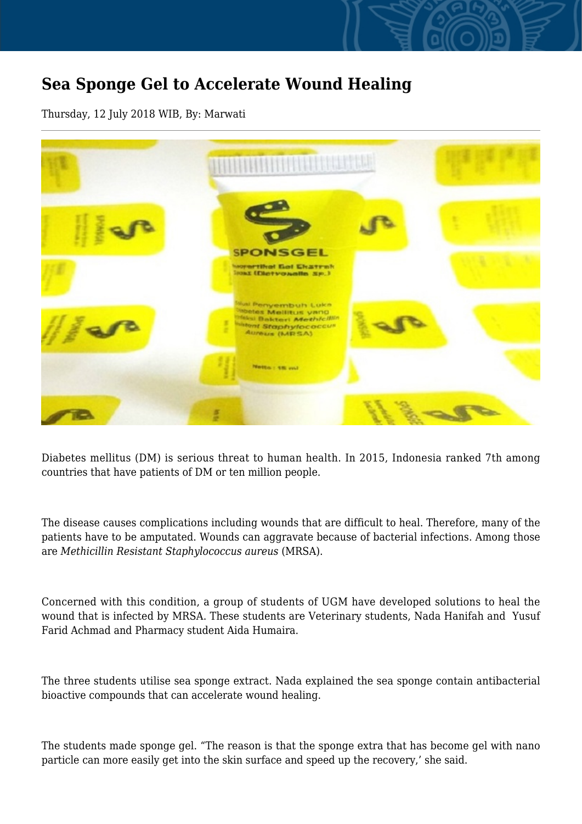## **Sea Sponge Gel to Accelerate Wound Healing**

Thursday, 12 July 2018 WIB, By: Marwati



Diabetes mellitus (DM) is serious threat to human health. In 2015, Indonesia ranked 7th among countries that have patients of DM or ten million people.

The disease causes complications including wounds that are difficult to heal. Therefore, many of the patients have to be amputated. Wounds can aggravate because of bacterial infections. Among those are *Methicillin Resistant Staphylococcus aureus* (MRSA).

Concerned with this condition, a group of students of UGM have developed solutions to heal the wound that is infected by MRSA. These students are Veterinary students, Nada Hanifah and Yusuf Farid Achmad and Pharmacy student Aida Humaira.

The three students utilise sea sponge extract. Nada explained the sea sponge contain antibacterial bioactive compounds that can accelerate wound healing.

The students made sponge gel. "The reason is that the sponge extra that has become gel with nano particle can more easily get into the skin surface and speed up the recovery,' she said.